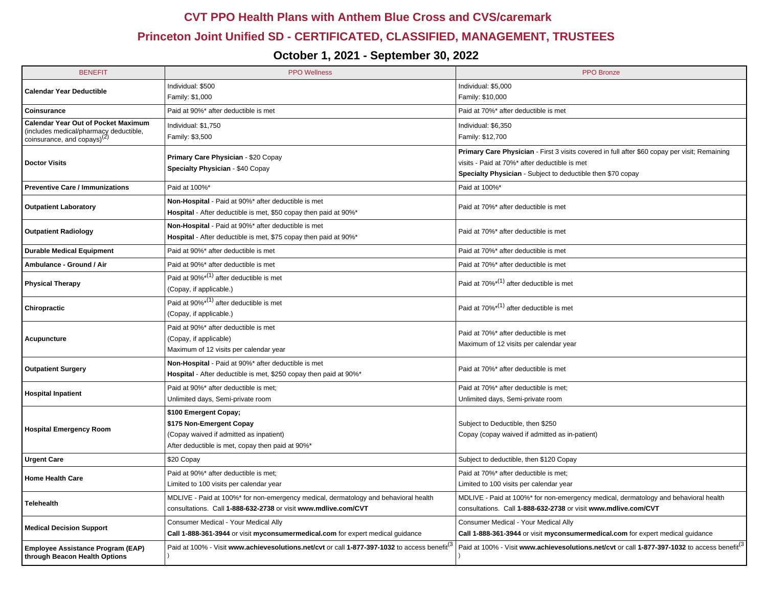## **CVT PPO Health Plans with Anthem Blue Cross and CVS/caremark**

## **Princeton Joint Unified SD - CERTIFICATED, CLASSIFIED, MANAGEMENT, TRUSTEES**

## **October 1, 2021 - September 30, 2022**

| <b>BENEFIT</b>                                                                                                                                                                                      | <b>PPO Wellness</b>                                                                 | <b>PPO</b> Bronze                                                                                        |  |
|-----------------------------------------------------------------------------------------------------------------------------------------------------------------------------------------------------|-------------------------------------------------------------------------------------|----------------------------------------------------------------------------------------------------------|--|
| <b>Calendar Year Deductible</b>                                                                                                                                                                     | Individual: \$500                                                                   | Individual: \$5,000                                                                                      |  |
|                                                                                                                                                                                                     | Family: \$1,000                                                                     | Family: \$10,000                                                                                         |  |
| Coinsurance                                                                                                                                                                                         | Paid at 90%* after deductible is met                                                | Paid at 70%* after deductible is met                                                                     |  |
| <b>Calendar Year Out of Pocket Maximum</b><br>(includes medical/pharmacy deductible,<br>coinsurance, and copays) <sup>(2)</sup>                                                                     | Individual: \$1,750                                                                 | Individual: \$6,350                                                                                      |  |
|                                                                                                                                                                                                     | Family: \$3,500                                                                     | Family: \$12,700                                                                                         |  |
| <b>Doctor Visits</b>                                                                                                                                                                                | Primary Care Physician - \$20 Copay                                                 | Primary Care Physician - First 3 visits covered in full after \$60 copay per visit; Remaining            |  |
|                                                                                                                                                                                                     | Specialty Physician - \$40 Copay                                                    | visits - Paid at 70%* after deductible is met                                                            |  |
|                                                                                                                                                                                                     |                                                                                     | Specialty Physician - Subject to deductible then \$70 copay                                              |  |
| <b>Preventive Care / Immunizations</b>                                                                                                                                                              | Paid at 100%*                                                                       | Paid at 100%*                                                                                            |  |
| <b>Outpatient Laboratory</b>                                                                                                                                                                        | Non-Hospital - Paid at 90%* after deductible is met                                 | Paid at 70%* after deductible is met                                                                     |  |
|                                                                                                                                                                                                     | Hospital - After deductible is met, \$50 copay then paid at 90%*                    |                                                                                                          |  |
| <b>Outpatient Radiology</b>                                                                                                                                                                         | Non-Hospital - Paid at 90%* after deductible is met                                 | Paid at 70%* after deductible is met                                                                     |  |
|                                                                                                                                                                                                     | Hospital - After deductible is met, \$75 copay then paid at 90%*                    |                                                                                                          |  |
| <b>Durable Medical Equipment</b>                                                                                                                                                                    | Paid at 90%* after deductible is met                                                | Paid at 70%* after deductible is met                                                                     |  |
| Ambulance - Ground / Air                                                                                                                                                                            | Paid at 90%* after deductible is met                                                | Paid at 70%* after deductible is met                                                                     |  |
| <b>Physical Therapy</b>                                                                                                                                                                             | Paid at $90\%^{*(1)}$ after deductible is met                                       | Paid at 70% <sup>*(1)</sup> after deductible is met                                                      |  |
|                                                                                                                                                                                                     | (Copay, if applicable.)                                                             |                                                                                                          |  |
| Chiropractic                                                                                                                                                                                        | Paid at $90\%^{*(1)}$ after deductible is met                                       | Paid at $70\%^{*(1)}$ after deductible is met                                                            |  |
|                                                                                                                                                                                                     | (Copay, if applicable.)                                                             |                                                                                                          |  |
| Acupuncture                                                                                                                                                                                         | Paid at 90%* after deductible is met                                                | Paid at 70%* after deductible is met                                                                     |  |
|                                                                                                                                                                                                     | (Copay, if applicable)                                                              | Maximum of 12 visits per calendar year                                                                   |  |
|                                                                                                                                                                                                     | Maximum of 12 visits per calendar year                                              |                                                                                                          |  |
| <b>Outpatient Surgery</b>                                                                                                                                                                           | Non-Hospital - Paid at 90%* after deductible is met                                 | Paid at 70%* after deductible is met                                                                     |  |
|                                                                                                                                                                                                     | Hospital - After deductible is met, \$250 copay then paid at 90%*                   |                                                                                                          |  |
| <b>Hospital Inpatient</b>                                                                                                                                                                           | Paid at 90%* after deductible is met;                                               | Paid at 70%* after deductible is met;                                                                    |  |
|                                                                                                                                                                                                     | Unlimited days, Semi-private room                                                   | Unlimited days, Semi-private room                                                                        |  |
| <b>Hospital Emergency Room</b>                                                                                                                                                                      | \$100 Emergent Copay;                                                               |                                                                                                          |  |
|                                                                                                                                                                                                     | \$175 Non-Emergent Copay                                                            | Subject to Deductible, then \$250                                                                        |  |
|                                                                                                                                                                                                     | (Copay waived if admitted as inpatient)                                             | Copay (copay waived if admitted as in-patient)                                                           |  |
|                                                                                                                                                                                                     | After deductible is met, copay then paid at 90%*                                    |                                                                                                          |  |
| <b>Urgent Care</b>                                                                                                                                                                                  | \$20 Copay                                                                          | Subject to deductible, then \$120 Copay                                                                  |  |
| <b>Home Health Care</b>                                                                                                                                                                             | Paid at 90%* after deductible is met;                                               | Paid at 70%* after deductible is met;                                                                    |  |
|                                                                                                                                                                                                     | Limited to 100 visits per calendar year                                             | Limited to 100 visits per calendar year                                                                  |  |
| <b>Telehealth</b>                                                                                                                                                                                   | MDLIVE - Paid at 100%* for non-emergency medical, dermatology and behavioral health | MDLIVE - Paid at 100%* for non-emergency medical, dermatology and behavioral health                      |  |
|                                                                                                                                                                                                     | consultations. Call 1-888-632-2738 or visit www.mdlive.com/CVT                      | consultations. Call 1-888-632-2738 or visit www.mdlive.com/CVT                                           |  |
| <b>Medical Decision Support</b>                                                                                                                                                                     | Consumer Medical - Your Medical Ally                                                | Consumer Medical - Your Medical Ally                                                                     |  |
|                                                                                                                                                                                                     | Call 1-888-361-3944 or visit myconsumermedical.com for expert medical guidance      | Call 1-888-361-3944 or visit myconsumermedical.com for expert medical guidance                           |  |
| Paid at 100% - Visit <b>www.achievesolutions.net/cvt</b> or call <b>1-877-397-1032</b> to access benefit <sup>(3</sup><br><b>Employee Assistance Program (EAP)</b><br>through Beacon Health Options |                                                                                     | Paid at 100% - Visit www.achievesolutions.net/cvt or call 1-877-397-1032 to access benefit <sup>(3</sup> |  |